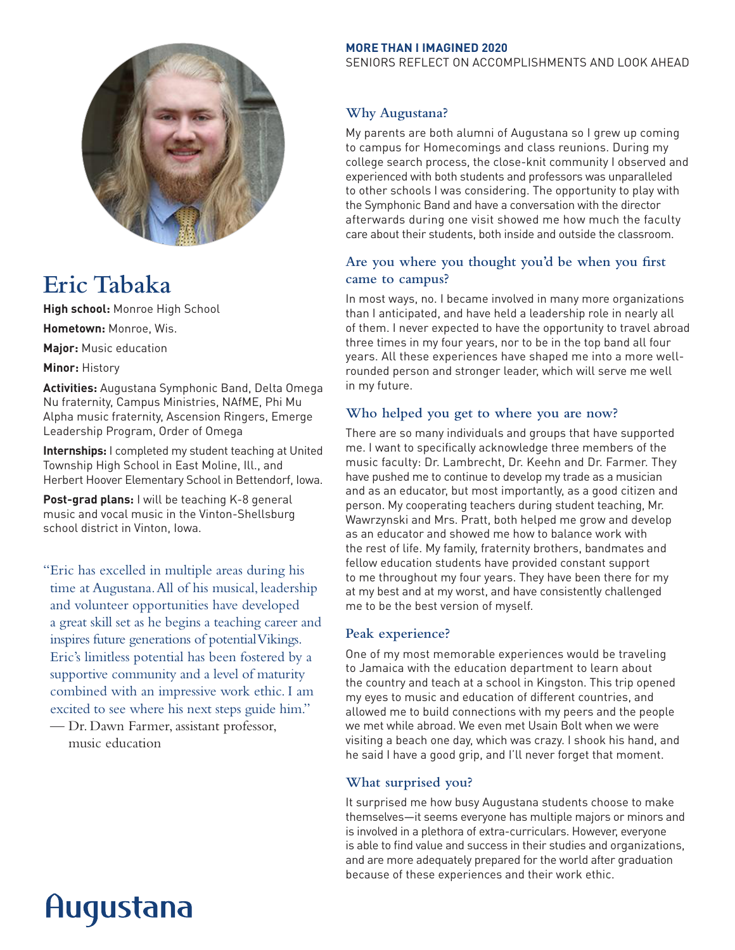

# **Eric Tabaka**

**High school:** Monroe High School

**Hometown:** Monroe, Wis.

**Major:** Music education

**Minor:** History

**Activities:** Augustana Symphonic Band, Delta Omega Nu fraternity, Campus Ministries, NAfME, Phi Mu Alpha music fraternity, Ascension Ringers, Emerge Leadership Program, Order of Omega

**Internships:** I completed my student teaching at United Township High School in East Moline, Ill., and Herbert Hoover Elementary School in Bettendorf, Iowa.

**Post-grad plans:** I will be teaching K-8 general music and vocal music in the Vinton-Shellsburg school district in Vinton, Iowa.

"Eric has excelled in multiple areas during his time at Augustana. All of his musical, leadership and volunteer opportunities have developed a great skill set as he begins a teaching career and inspires future generations of potential Vikings. Eric's limitless potential has been fostered by a supportive community and a level of maturity combined with an impressive work ethic. I am excited to see where his next steps guide him."

— Dr. Dawn Farmer, assistant professor, music education

#### **MORE THAN I IMAGINED 2020**

SENIORS REFLECT ON ACCOMPLISHMENTS AND LOOK AHEAD

### **Why Augustana?**

My parents are both alumni of Augustana so I grew up coming to campus for Homecomings and class reunions. During my college search process, the close-knit community I observed and experienced with both students and professors was unparalleled to other schools I was considering. The opportunity to play with the Symphonic Band and have a conversation with the director afterwards during one visit showed me how much the faculty care about their students, both inside and outside the classroom.

## **Are you where you thought you'd be when you first came to campus?**

In most ways, no. I became involved in many more organizations than I anticipated, and have held a leadership role in nearly all of them. I never expected to have the opportunity to travel abroad three times in my four years, nor to be in the top band all four years. All these experiences have shaped me into a more wellrounded person and stronger leader, which will serve me well in my future.

### **Who helped you get to where you are now?**

There are so many individuals and groups that have supported me. I want to specifically acknowledge three members of the music faculty: Dr. Lambrecht, Dr. Keehn and Dr. Farmer. They have pushed me to continue to develop my trade as a musician and as an educator, but most importantly, as a good citizen and person. My cooperating teachers during student teaching, Mr. Wawrzynski and Mrs. Pratt, both helped me grow and develop as an educator and showed me how to balance work with the rest of life. My family, fraternity brothers, bandmates and fellow education students have provided constant support to me throughout my four years. They have been there for my at my best and at my worst, and have consistently challenged me to be the best version of myself.

### **Peak experience?**

One of my most memorable experiences would be traveling to Jamaica with the education department to learn about the country and teach at a school in Kingston. This trip opened my eyes to music and education of different countries, and allowed me to build connections with my peers and the people we met while abroad. We even met Usain Bolt when we were visiting a beach one day, which was crazy. I shook his hand, and he said I have a good grip, and I'll never forget that moment.

## **What surprised you?**

It surprised me how busy Augustana students choose to make themselves—it seems everyone has multiple majors or minors and is involved in a plethora of extra-curriculars. However, everyone is able to find value and success in their studies and organizations, and are more adequately prepared for the world after graduation because of these experiences and their work ethic.

# Augustana